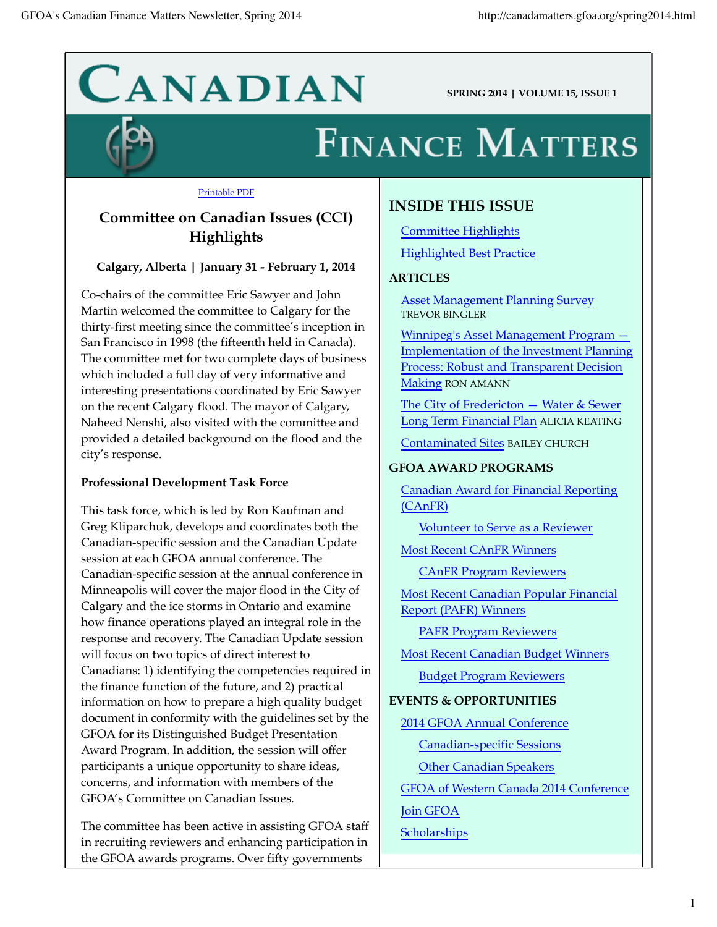# CANADIAN

**SPRING 2014 | VOLUME 15, ISSUE 1**

## **FINANCE MATTERS**

#### Printable PDF

## **Committee on Canadian Issues (CCI) Highlights**

## **Calgary, Alberta | January 31 - February 1, 2014**

Co-chairs of the committee Eric Sawyer and John Martin welcomed the committee to Calgary for the thirty-first meeting since the committee's inception in San Francisco in 1998 (the fifteenth held in Canada). The committee met for two complete days of business which included a full day of very informative and interesting presentations coordinated by Eric Sawyer on the recent Calgary flood. The mayor of Calgary, Naheed Nenshi, also visited with the committee and provided a detailed background on the flood and the city's response.

## **Professional Development Task Force**

This task force, which is led by Ron Kaufman and Greg Kliparchuk, develops and coordinates both the Canadian-specific session and the Canadian Update session at each GFOA annual conference. The Canadian-specific session at the annual conference in Minneapolis will cover the major flood in the City of Calgary and the ice storms in Ontario and examine how finance operations played an integral role in the response and recovery. The Canadian Update session will focus on two topics of direct interest to Canadians: 1) identifying the competencies required in the finance function of the future, and 2) practical information on how to prepare a high quality budget document in conformity with the guidelines set by the GFOA for its Distinguished Budget Presentation Award Program. In addition, the session will offer participants a unique opportunity to share ideas, concerns, and information with members of the GFOA's Committee on Canadian Issues.

The committee has been active in assisting GFOA staff in recruiting reviewers and enhancing participation in the GFOA awards programs. Over fifty governments

## **INSIDE THIS ISSUE**

Committee Highlights Highlighted Best Practice

### **ARTICLES**

Asset Management Planning Survey TREVOR BINGLER

Winnipeg's Asset Management Program — Implementation of the Investment Planning Process: Robust and Transparent Decision Making RON AMANN

The City of Fredericton - Water & Sewer Long Term Financial Plan ALICIA KEATING

Contaminated Sites BAILEY CHURCH

### **GFOA AWARD PROGRAMS**

Canadian Award for Financial Reporting (CAnFR)

Volunteer to Serve as a Reviewer

Most Recent CAnFR Winners

CAnFR Program Reviewers

Most Recent Canadian Popular Financial Report (PAFR) Winners

PAFR Program Reviewers

Most Recent Canadian Budget Winners

Budget Program Reviewers

### **EVENTS & OPPORTUNITIES**

2014 GFOA Annual Conference

Canadian-specific Sessions

Other Canadian Speakers

GFOA of Western Canada 2014 Conference

Join GFOA

**Scholarships**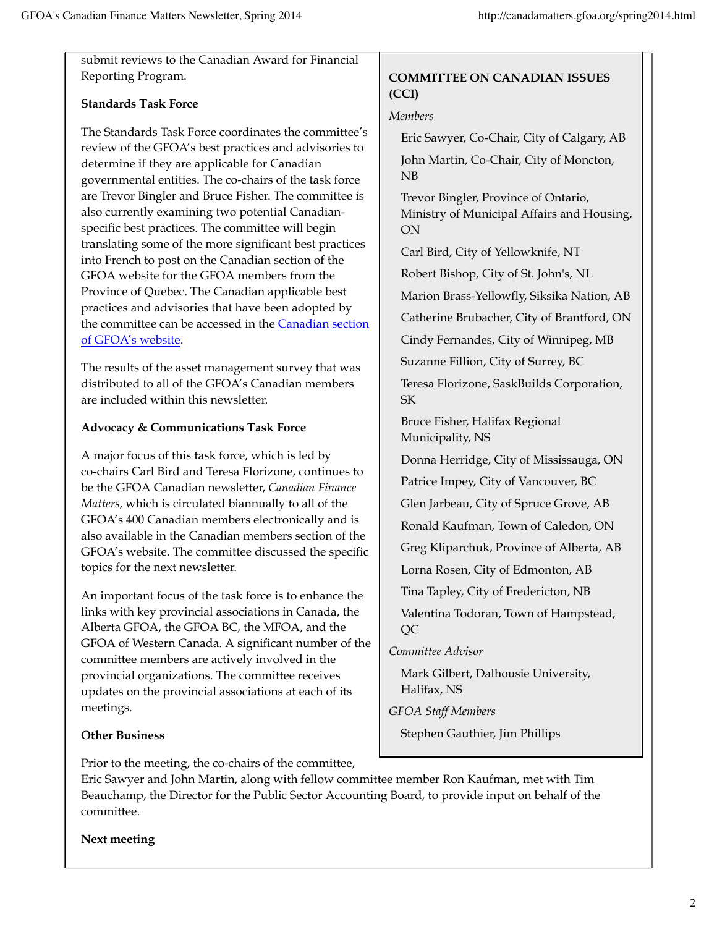submit reviews to the Canadian Award for Financial Reporting Program.

## **Standards Task Force**

The Standards Task Force coordinates the committee's review of the GFOA's best practices and advisories to determine if they are applicable for Canadian governmental entities. The co-chairs of the task force are Trevor Bingler and Bruce Fisher. The committee is also currently examining two potential Canadianspecific best practices. The committee will begin translating some of the more significant best practices into French to post on the Canadian section of the GFOA website for the GFOA members from the Province of Quebec. The Canadian applicable best practices and advisories that have been adopted by the committee can be accessed in the Canadian section of GFOA's website.

The results of the asset management survey that was distributed to all of the GFOA's Canadian members are included within this newsletter.

## **Advocacy & Communications Task Force**

A major focus of this task force, which is led by co-chairs Carl Bird and Teresa Florizone, continues to be the GFOA Canadian newsletter, *Canadian Finance Matters*, which is circulated biannually to all of the GFOA's 400 Canadian members electronically and is also available in the Canadian members section of the GFOA's website. The committee discussed the specific topics for the next newsletter.

An important focus of the task force is to enhance the links with key provincial associations in Canada, the Alberta GFOA, the GFOA BC, the MFOA, and the GFOA of Western Canada. A significant number of the committee members are actively involved in the provincial organizations. The committee receives updates on the provincial associations at each of its meetings.

## **Other Business**

Prior to the meeting, the co-chairs of the committee,

## **COMMITTEE ON CANADIAN ISSUES (CCI)**

## *Members*

Eric Sawyer, Co-Chair, City of Calgary, AB John Martin, Co-Chair, City of Moncton, NB

Trevor Bingler, Province of Ontario, Ministry of Municipal Affairs and Housing, ON

Carl Bird, City of Yellowknife, NT

Robert Bishop, City of St. John's, NL

Marion Brass-Yellowfly, Siksika Nation, AB

Catherine Brubacher, City of Brantford, ON

Cindy Fernandes, City of Winnipeg, MB

Suzanne Fillion, City of Surrey, BC

Teresa Florizone, SaskBuilds Corporation, SK

Bruce Fisher, Halifax Regional Municipality, NS

Donna Herridge, City of Mississauga, ON

Patrice Impey, City of Vancouver, BC

Glen Jarbeau, City of Spruce Grove, AB

Ronald Kaufman, Town of Caledon, ON

Greg Kliparchuk, Province of Alberta, AB

Lorna Rosen, City of Edmonton, AB

Tina Tapley, City of Fredericton, NB

Valentina Todoran, Town of Hampstead, QC

*Committee Advisor*

Mark Gilbert, Dalhousie University, Halifax, NS

*GFOA Staff Members*

Stephen Gauthier, Jim Phillips

Eric Sawyer and John Martin, along with fellow committee member Ron Kaufman, met with Tim Beauchamp, the Director for the Public Sector Accounting Board, to provide input on behalf of the committee.

## **Next meeting**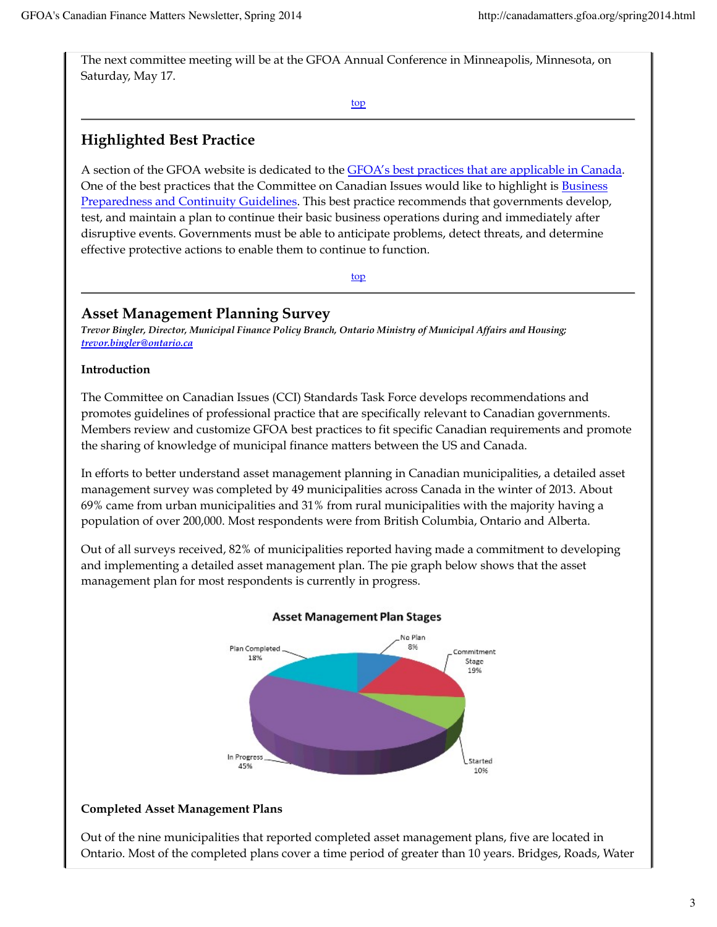The next committee meeting will be at the GFOA Annual Conference in Minneapolis, Minnesota, on Saturday, May 17.

top

## **Highlighted Best Practice**

A section of the GFOA website is dedicated to the GFOA's best practices that are applicable in Canada. One of the best practices that the Committee on Canadian Issues would like to highlight is Business Preparedness and Continuity Guidelines. This best practice recommends that governments develop, test, and maintain a plan to continue their basic business operations during and immediately after disruptive events. Governments must be able to anticipate problems, detect threats, and determine effective protective actions to enable them to continue to function.

top

## **Asset Management Planning Survey**

*Trevor Bingler, Director, Municipal Finance Policy Branch, Ontario Ministry of Municipal Affairs and Housing; trevor.bingler@ontario.ca*

## **Introduction**

The Committee on Canadian Issues (CCI) Standards Task Force develops recommendations and promotes guidelines of professional practice that are specifically relevant to Canadian governments. Members review and customize GFOA best practices to fit specific Canadian requirements and promote the sharing of knowledge of municipal finance matters between the US and Canada.

In efforts to better understand asset management planning in Canadian municipalities, a detailed asset management survey was completed by 49 municipalities across Canada in the winter of 2013. About 69% came from urban municipalities and 31% from rural municipalities with the majority having a population of over 200,000. Most respondents were from British Columbia, Ontario and Alberta.

Out of all surveys received, 82% of municipalities reported having made a commitment to developing and implementing a detailed asset management plan. The pie graph below shows that the asset management plan for most respondents is currently in progress.



### **Asset Management Plan Stages**

## **Completed Asset Management Plans**

Out of the nine municipalities that reported completed asset management plans, five are located in Ontario. Most of the completed plans cover a time period of greater than 10 years. Bridges, Roads, Water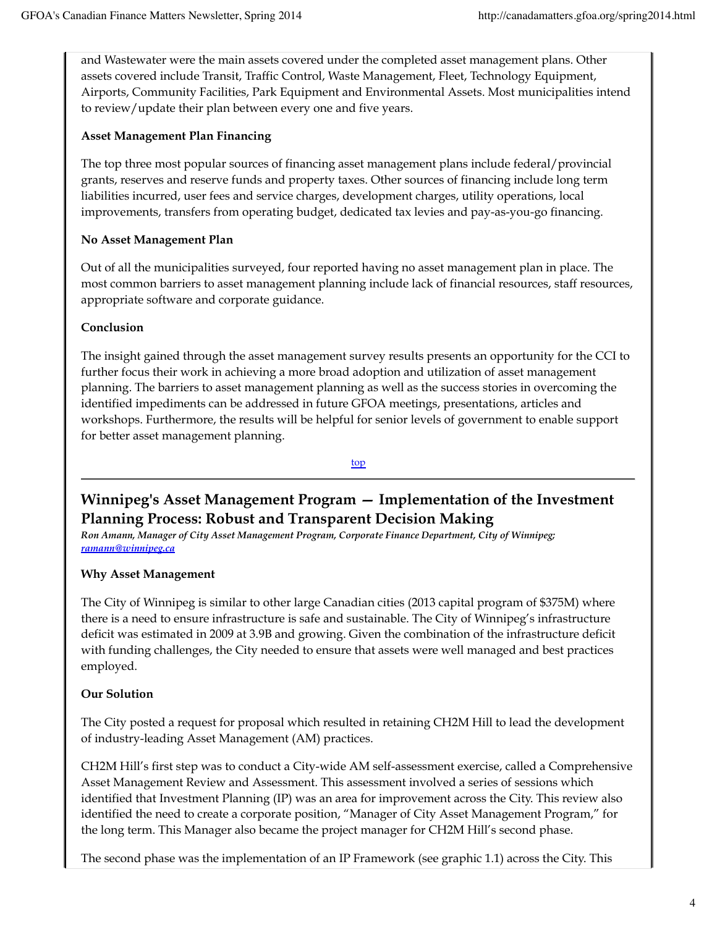and Wastewater were the main assets covered under the completed asset management plans. Other assets covered include Transit, Traffic Control, Waste Management, Fleet, Technology Equipment, Airports, Community Facilities, Park Equipment and Environmental Assets. Most municipalities intend to review/update their plan between every one and five years.

## **Asset Management Plan Financing**

The top three most popular sources of financing asset management plans include federal/provincial grants, reserves and reserve funds and property taxes. Other sources of financing include long term liabilities incurred, user fees and service charges, development charges, utility operations, local improvements, transfers from operating budget, dedicated tax levies and pay-as-you-go financing.

## **No Asset Management Plan**

Out of all the municipalities surveyed, four reported having no asset management plan in place. The most common barriers to asset management planning include lack of financial resources, staff resources, appropriate software and corporate guidance.

## **Conclusion**

The insight gained through the asset management survey results presents an opportunity for the CCI to further focus their work in achieving a more broad adoption and utilization of asset management planning. The barriers to asset management planning as well as the success stories in overcoming the identified impediments can be addressed in future GFOA meetings, presentations, articles and workshops. Furthermore, the results will be helpful for senior levels of government to enable support for better asset management planning.

top

## **Winnipeg's Asset Management Program — Implementation of the Investment Planning Process: Robust and Transparent Decision Making**

*Ron Amann, Manager of City Asset Management Program, Corporate Finance Department, City of Winnipeg; ramann@winnipeg.ca*

## **Why Asset Management**

The City of Winnipeg is similar to other large Canadian cities (2013 capital program of \$375M) where there is a need to ensure infrastructure is safe and sustainable. The City of Winnipeg's infrastructure deficit was estimated in 2009 at 3.9B and growing. Given the combination of the infrastructure deficit with funding challenges, the City needed to ensure that assets were well managed and best practices employed.

## **Our Solution**

The City posted a request for proposal which resulted in retaining CH2M Hill to lead the development of industry-leading Asset Management (AM) practices.

CH2M Hill's first step was to conduct a City-wide AM self-assessment exercise, called a Comprehensive Asset Management Review and Assessment. This assessment involved a series of sessions which identified that Investment Planning (IP) was an area for improvement across the City. This review also identified the need to create a corporate position, "Manager of City Asset Management Program," for the long term. This Manager also became the project manager for CH2M Hill's second phase.

The second phase was the implementation of an IP Framework (see graphic 1.1) across the City. This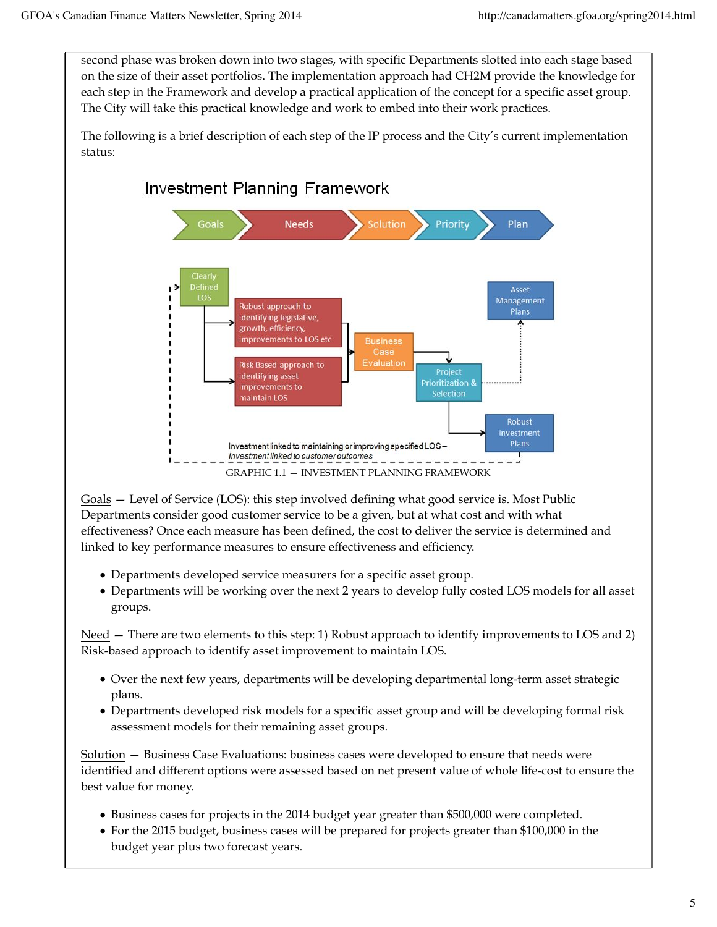second phase was broken down into two stages, with specific Departments slotted into each stage based on the size of their asset portfolios. The implementation approach had CH2M provide the knowledge for each step in the Framework and develop a practical application of the concept for a specific asset group. The City will take this practical knowledge and work to embed into their work practices.

The following is a brief description of each step of the IP process and the City's current implementation status:



Goals — Level of Service (LOS): this step involved defining what good service is. Most Public Departments consider good customer service to be a given, but at what cost and with what effectiveness? Once each measure has been defined, the cost to deliver the service is determined and linked to key performance measures to ensure effectiveness and efficiency.

- Departments developed service measurers for a specific asset group.
- Departments will be working over the next 2 years to develop fully costed LOS models for all asset groups.

Need — There are two elements to this step: 1) Robust approach to identify improvements to LOS and 2) Risk-based approach to identify asset improvement to maintain LOS.

- Over the next few years, departments will be developing departmental long-term asset strategic plans.
- Departments developed risk models for a specific asset group and will be developing formal risk assessment models for their remaining asset groups.

Solution — Business Case Evaluations: business cases were developed to ensure that needs were identified and different options were assessed based on net present value of whole life-cost to ensure the best value for money.

- Business cases for projects in the 2014 budget year greater than \$500,000 were completed.
- For the 2015 budget, business cases will be prepared for projects greater than \$100,000 in the budget year plus two forecast years.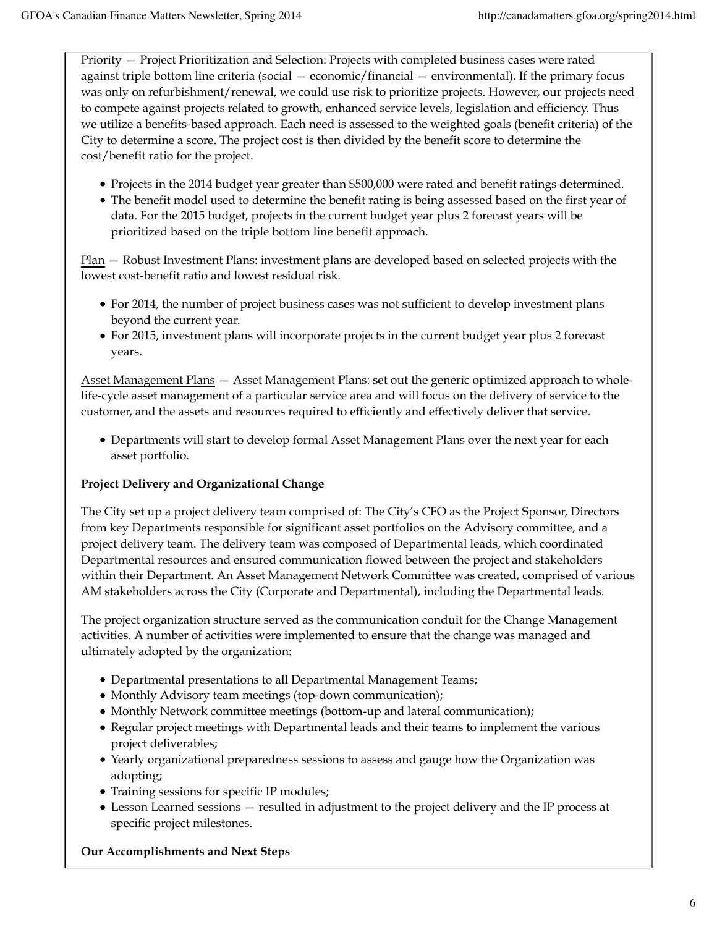Priority — Project Prioritization and Selection: Projects with completed business cases were rated against triple bottom line criteria (social — economic/financial — environmental). If the primary focus was only on refurbishment/renewal, we could use risk to prioritize projects. However, our projects need to compete against projects related to growth, enhanced service levels, legislation and efficiency. Thus we utilize a benefits-based approach. Each need is assessed to the weighted goals (benefit criteria) of the City to determine a score. The project cost is then divided by the benefit score to determine the cost/benefit ratio for the project.

- Projects in the 2014 budget year greater than \$500,000 were rated and benefit ratings determined.
- The benefit model used to determine the benefit rating is being assessed based on the first year of data. For the 2015 budget, projects in the current budget year plus 2 forecast years will be prioritized based on the triple bottom line benefit approach.

Plan — Robust Investment Plans: investment plans are developed based on selected projects with the lowest cost-benefit ratio and lowest residual risk.

- For 2014, the number of project business cases was not sufficient to develop investment plans beyond the current year.
- For 2015, investment plans will incorporate projects in the current budget year plus 2 forecast years.

Asset Management Plans — Asset Management Plans: set out the generic optimized approach to wholelife-cycle asset management of a particular service area and will focus on the delivery of service to the customer, and the assets and resources required to efficiently and effectively deliver that service.

Departments will start to develop formal Asset Management Plans over the next year for each asset portfolio.

#### **Project Delivery and Organizational Change**

The City set up a project delivery team comprised of: The City's CFO as the Project Sponsor, Directors from key Departments responsible for significant asset portfolios on the Advisory committee, and a project delivery team. The delivery team was composed of Departmental leads, which coordinated Departmental resources and ensured communication flowed between the project and stakeholders within their Department. An Asset Management Network Committee was created, comprised of various AM stakeholders across the City (Corporate and Departmental), including the Departmental leads.

The project organization structure served as the communication conduit for the Change Management activities. A number of activities were implemented to ensure that the change was managed and ultimately adopted by the organization:

- Departmental presentations to all Departmental Management Teams;
- Monthly Advisory team meetings (top-down communication);
- Monthly Network committee meetings (bottom-up and lateral communication);
- Regular project meetings with Departmental leads and their teams to implement the various project deliverables;
- Yearly organizational preparedness sessions to assess and gauge how the Organization was adopting;
- Training sessions for specific IP modules;
- Lesson Learned sessions resulted in adjustment to the project delivery and the IP process at specific project milestones.

#### **Our Accomplishments and Next Steps**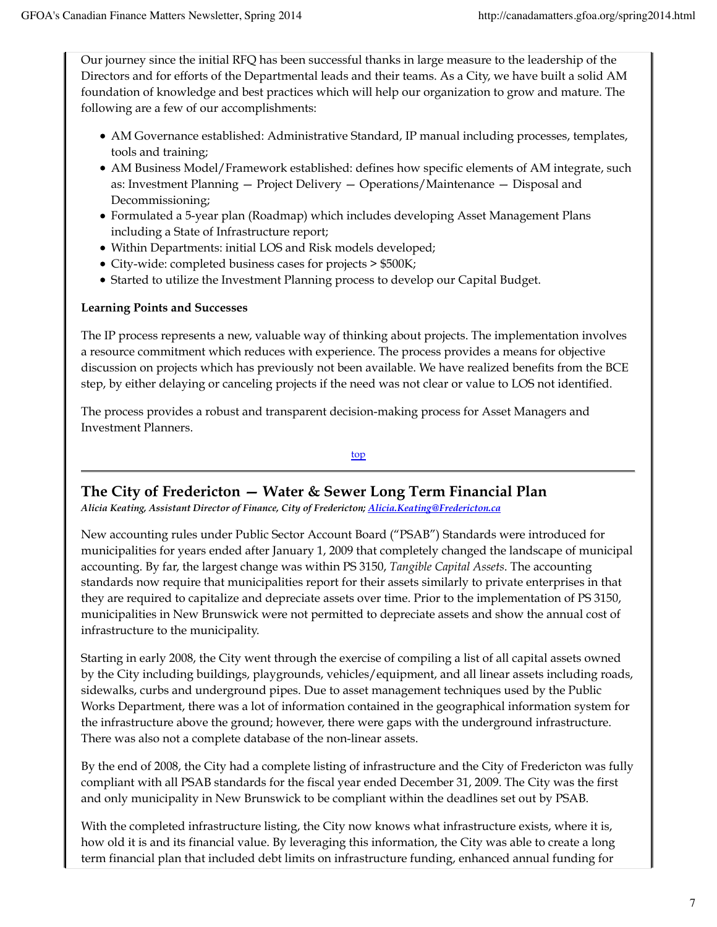Our journey since the initial RFQ has been successful thanks in large measure to the leadership of the Directors and for efforts of the Departmental leads and their teams. As a City, we have built a solid AM foundation of knowledge and best practices which will help our organization to grow and mature. The following are a few of our accomplishments:

- AM Governance established: Administrative Standard, IP manual including processes, templates, tools and training;
- AM Business Model/Framework established: defines how specific elements of AM integrate, such as: Investment Planning — Project Delivery — Operations/Maintenance — Disposal and Decommissioning;
- Formulated a 5-year plan (Roadmap) which includes developing Asset Management Plans including a State of Infrastructure report;
- Within Departments: initial LOS and Risk models developed;
- City-wide: completed business cases for projects > \$500K;
- Started to utilize the Investment Planning process to develop our Capital Budget.

#### **Learning Points and Successes**

The IP process represents a new, valuable way of thinking about projects. The implementation involves a resource commitment which reduces with experience. The process provides a means for objective discussion on projects which has previously not been available. We have realized benefits from the BCE step, by either delaying or canceling projects if the need was not clear or value to LOS not identified.

The process provides a robust and transparent decision-making process for Asset Managers and Investment Planners.

top

## **The City of Fredericton — Water & Sewer Long Term Financial Plan**

*Alicia Keating, Assistant Director of Finance, City of Fredericton; Alicia.Keating@Fredericton.ca*

New accounting rules under Public Sector Account Board ("PSAB") Standards were introduced for municipalities for years ended after January 1, 2009 that completely changed the landscape of municipal accounting. By far, the largest change was within PS 3150, *Tangible Capital Assets*. The accounting standards now require that municipalities report for their assets similarly to private enterprises in that they are required to capitalize and depreciate assets over time. Prior to the implementation of PS 3150, municipalities in New Brunswick were not permitted to depreciate assets and show the annual cost of infrastructure to the municipality.

Starting in early 2008, the City went through the exercise of compiling a list of all capital assets owned by the City including buildings, playgrounds, vehicles/equipment, and all linear assets including roads, sidewalks, curbs and underground pipes. Due to asset management techniques used by the Public Works Department, there was a lot of information contained in the geographical information system for the infrastructure above the ground; however, there were gaps with the underground infrastructure. There was also not a complete database of the non-linear assets.

By the end of 2008, the City had a complete listing of infrastructure and the City of Fredericton was fully compliant with all PSAB standards for the fiscal year ended December 31, 2009. The City was the first and only municipality in New Brunswick to be compliant within the deadlines set out by PSAB.

With the completed infrastructure listing, the City now knows what infrastructure exists, where it is, how old it is and its financial value. By leveraging this information, the City was able to create a long term financial plan that included debt limits on infrastructure funding, enhanced annual funding for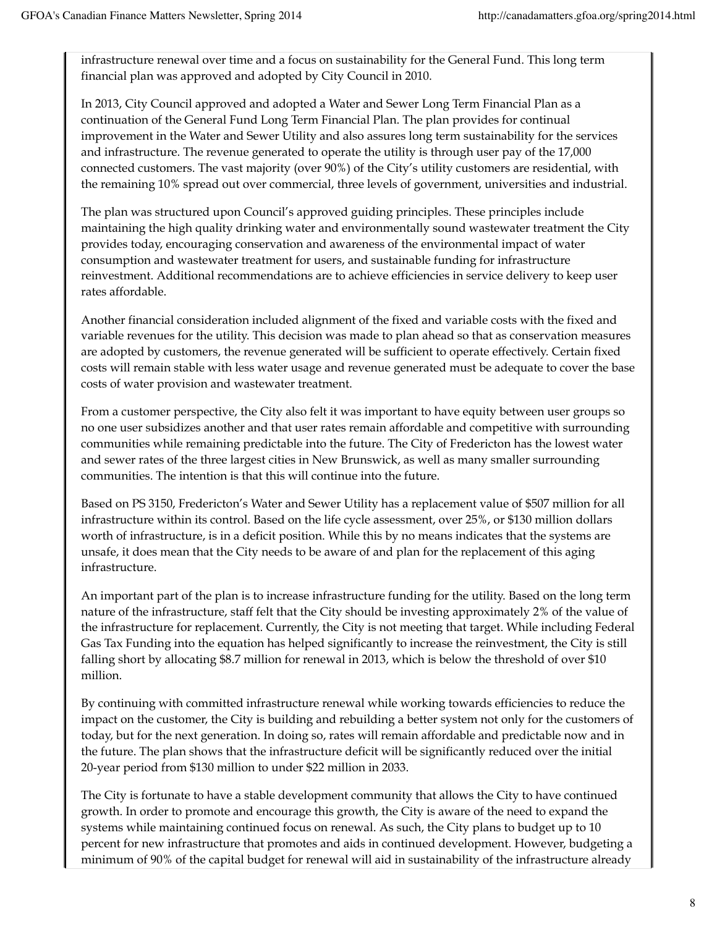infrastructure renewal over time and a focus on sustainability for the General Fund. This long term financial plan was approved and adopted by City Council in 2010.

In 2013, City Council approved and adopted a Water and Sewer Long Term Financial Plan as a continuation of the General Fund Long Term Financial Plan. The plan provides for continual improvement in the Water and Sewer Utility and also assures long term sustainability for the services and infrastructure. The revenue generated to operate the utility is through user pay of the 17,000 connected customers. The vast majority (over 90%) of the City's utility customers are residential, with the remaining 10% spread out over commercial, three levels of government, universities and industrial.

The plan was structured upon Council's approved guiding principles. These principles include maintaining the high quality drinking water and environmentally sound wastewater treatment the City provides today, encouraging conservation and awareness of the environmental impact of water consumption and wastewater treatment for users, and sustainable funding for infrastructure reinvestment. Additional recommendations are to achieve efficiencies in service delivery to keep user rates affordable.

Another financial consideration included alignment of the fixed and variable costs with the fixed and variable revenues for the utility. This decision was made to plan ahead so that as conservation measures are adopted by customers, the revenue generated will be sufficient to operate effectively. Certain fixed costs will remain stable with less water usage and revenue generated must be adequate to cover the base costs of water provision and wastewater treatment.

From a customer perspective, the City also felt it was important to have equity between user groups so no one user subsidizes another and that user rates remain affordable and competitive with surrounding communities while remaining predictable into the future. The City of Fredericton has the lowest water and sewer rates of the three largest cities in New Brunswick, as well as many smaller surrounding communities. The intention is that this will continue into the future.

Based on PS 3150, Fredericton's Water and Sewer Utility has a replacement value of \$507 million for all infrastructure within its control. Based on the life cycle assessment, over 25%, or \$130 million dollars worth of infrastructure, is in a deficit position. While this by no means indicates that the systems are unsafe, it does mean that the City needs to be aware of and plan for the replacement of this aging infrastructure.

An important part of the plan is to increase infrastructure funding for the utility. Based on the long term nature of the infrastructure, staff felt that the City should be investing approximately 2% of the value of the infrastructure for replacement. Currently, the City is not meeting that target. While including Federal Gas Tax Funding into the equation has helped significantly to increase the reinvestment, the City is still falling short by allocating \$8.7 million for renewal in 2013, which is below the threshold of over \$10 million.

By continuing with committed infrastructure renewal while working towards efficiencies to reduce the impact on the customer, the City is building and rebuilding a better system not only for the customers of today, but for the next generation. In doing so, rates will remain affordable and predictable now and in the future. The plan shows that the infrastructure deficit will be significantly reduced over the initial 20-year period from \$130 million to under \$22 million in 2033.

The City is fortunate to have a stable development community that allows the City to have continued growth. In order to promote and encourage this growth, the City is aware of the need to expand the systems while maintaining continued focus on renewal. As such, the City plans to budget up to 10 percent for new infrastructure that promotes and aids in continued development. However, budgeting a minimum of 90% of the capital budget for renewal will aid in sustainability of the infrastructure already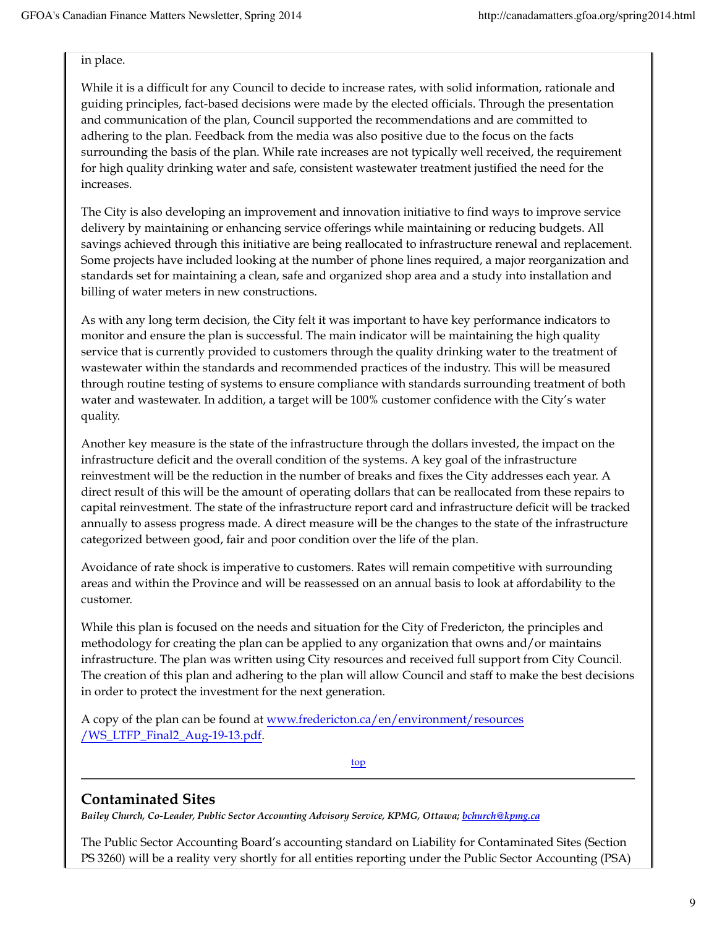#### in place.

While it is a difficult for any Council to decide to increase rates, with solid information, rationale and guiding principles, fact-based decisions were made by the elected officials. Through the presentation and communication of the plan, Council supported the recommendations and are committed to adhering to the plan. Feedback from the media was also positive due to the focus on the facts surrounding the basis of the plan. While rate increases are not typically well received, the requirement for high quality drinking water and safe, consistent wastewater treatment justified the need for the increases.

The City is also developing an improvement and innovation initiative to find ways to improve service delivery by maintaining or enhancing service offerings while maintaining or reducing budgets. All savings achieved through this initiative are being reallocated to infrastructure renewal and replacement. Some projects have included looking at the number of phone lines required, a major reorganization and standards set for maintaining a clean, safe and organized shop area and a study into installation and billing of water meters in new constructions.

As with any long term decision, the City felt it was important to have key performance indicators to monitor and ensure the plan is successful. The main indicator will be maintaining the high quality service that is currently provided to customers through the quality drinking water to the treatment of wastewater within the standards and recommended practices of the industry. This will be measured through routine testing of systems to ensure compliance with standards surrounding treatment of both water and wastewater. In addition, a target will be 100% customer confidence with the City's water quality.

Another key measure is the state of the infrastructure through the dollars invested, the impact on the infrastructure deficit and the overall condition of the systems. A key goal of the infrastructure reinvestment will be the reduction in the number of breaks and fixes the City addresses each year. A direct result of this will be the amount of operating dollars that can be reallocated from these repairs to capital reinvestment. The state of the infrastructure report card and infrastructure deficit will be tracked annually to assess progress made. A direct measure will be the changes to the state of the infrastructure categorized between good, fair and poor condition over the life of the plan.

Avoidance of rate shock is imperative to customers. Rates will remain competitive with surrounding areas and within the Province and will be reassessed on an annual basis to look at affordability to the customer.

While this plan is focused on the needs and situation for the City of Fredericton, the principles and methodology for creating the plan can be applied to any organization that owns and/or maintains infrastructure. The plan was written using City resources and received full support from City Council. The creation of this plan and adhering to the plan will allow Council and staff to make the best decisions in order to protect the investment for the next generation.

A copy of the plan can be found at www.fredericton.ca/en/environment/resources /WS\_LTFP\_Final2\_Aug-19-13.pdf.

top

## **Contaminated Sites**

*Bailey Church, Co-Leader, Public Sector Accounting Advisory Service, KPMG, Ottawa; bchurch@kpmg.ca*

The Public Sector Accounting Board's accounting standard on Liability for Contaminated Sites (Section PS 3260) will be a reality very shortly for all entities reporting under the Public Sector Accounting (PSA)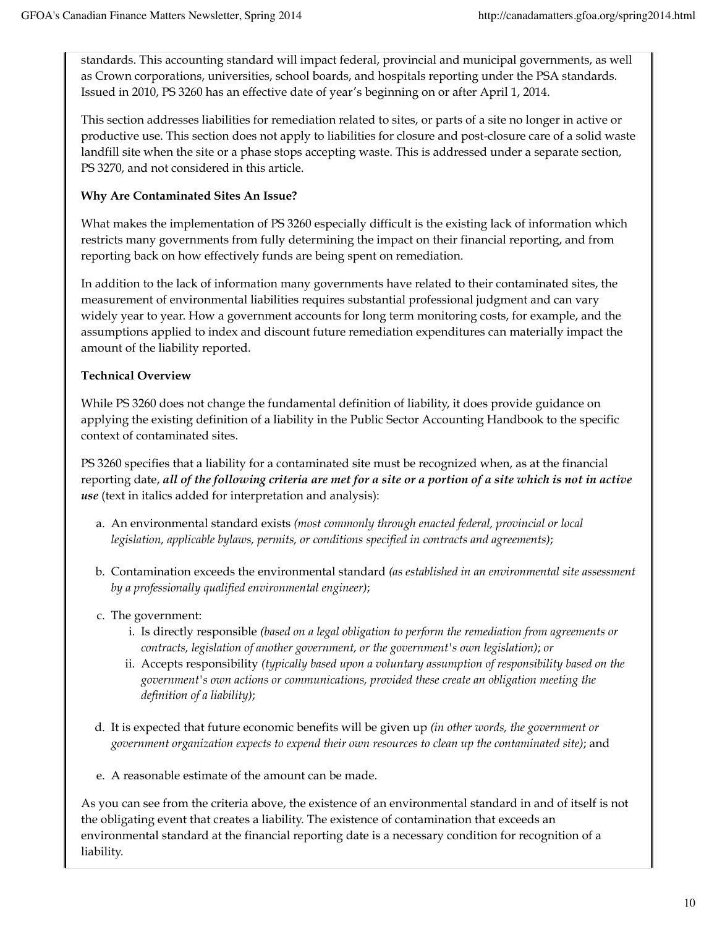standards. This accounting standard will impact federal, provincial and municipal governments, as well as Crown corporations, universities, school boards, and hospitals reporting under the PSA standards. Issued in 2010, PS 3260 has an effective date of year's beginning on or after April 1, 2014.

This section addresses liabilities for remediation related to sites, or parts of a site no longer in active or productive use. This section does not apply to liabilities for closure and post-closure care of a solid waste landfill site when the site or a phase stops accepting waste. This is addressed under a separate section, PS 3270, and not considered in this article.

#### **Why Are Contaminated Sites An Issue?**

What makes the implementation of PS 3260 especially difficult is the existing lack of information which restricts many governments from fully determining the impact on their financial reporting, and from reporting back on how effectively funds are being spent on remediation.

In addition to the lack of information many governments have related to their contaminated sites, the measurement of environmental liabilities requires substantial professional judgment and can vary widely year to year. How a government accounts for long term monitoring costs, for example, and the assumptions applied to index and discount future remediation expenditures can materially impact the amount of the liability reported.

#### **Technical Overview**

While PS 3260 does not change the fundamental definition of liability, it does provide guidance on applying the existing definition of a liability in the Public Sector Accounting Handbook to the specific context of contaminated sites.

PS 3260 specifies that a liability for a contaminated site must be recognized when, as at the financial reporting date, *all of the following criteria are met for a site or a portion of a site which is not in active use* (text in italics added for interpretation and analysis):

- An environmental standard exists *(most commonly through enacted federal, provincial or local* a. *legislation, applicable bylaws, permits, or conditions specified in contracts and agreements)*;
- Contamination exceeds the environmental standard *(as established in an environmental site assessment* b. *by a professionally qualified environmental engineer)*;
- c. The government:
	- Is directly responsible *(based on a legal obligation to perform the remediation from agreements or* i. *contracts, legislation of another government, or the government's own legislation)*; *or*
	- ii. Accepts responsibility *(typically based upon a voluntary assumption of responsibility based on the government's own actions or communications, provided these create an obligation meeting the definition of a liability)*;
- d. It is expected that future economic benefits will be given up *(in other words, the government or government organization expects to expend their own resources to clean up the contaminated site)*; and
- e. A reasonable estimate of the amount can be made.

As you can see from the criteria above, the existence of an environmental standard in and of itself is not the obligating event that creates a liability. The existence of contamination that exceeds an environmental standard at the financial reporting date is a necessary condition for recognition of a liability.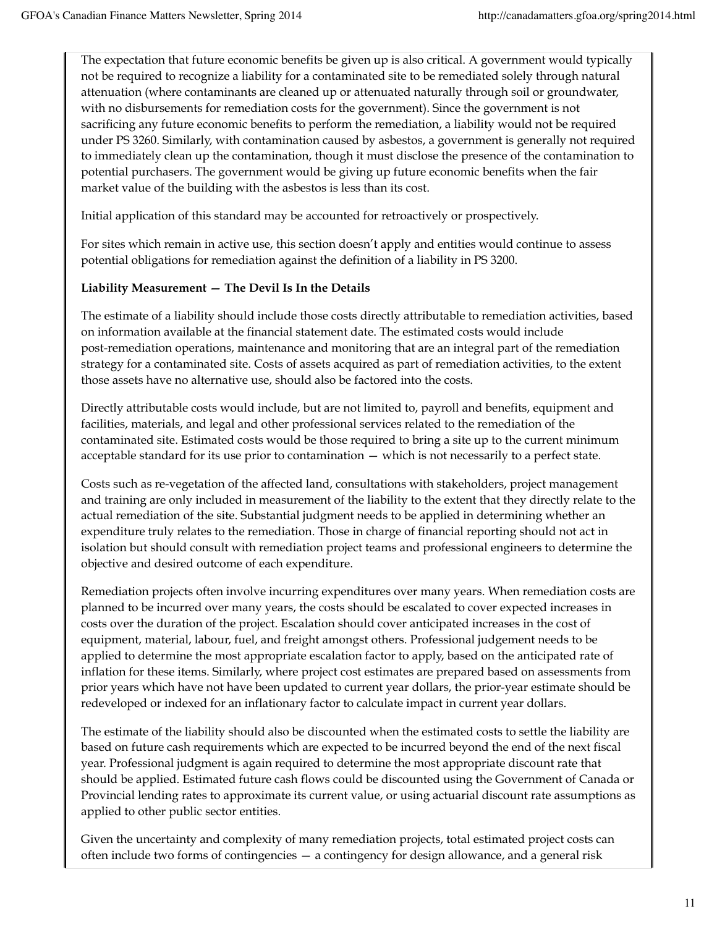The expectation that future economic benefits be given up is also critical. A government would typically not be required to recognize a liability for a contaminated site to be remediated solely through natural attenuation (where contaminants are cleaned up or attenuated naturally through soil or groundwater, with no disbursements for remediation costs for the government). Since the government is not sacrificing any future economic benefits to perform the remediation, a liability would not be required under PS 3260. Similarly, with contamination caused by asbestos, a government is generally not required to immediately clean up the contamination, though it must disclose the presence of the contamination to potential purchasers. The government would be giving up future economic benefits when the fair market value of the building with the asbestos is less than its cost.

Initial application of this standard may be accounted for retroactively or prospectively.

For sites which remain in active use, this section doesn't apply and entities would continue to assess potential obligations for remediation against the definition of a liability in PS 3200.

#### **Liability Measurement — The Devil Is In the Details**

The estimate of a liability should include those costs directly attributable to remediation activities, based on information available at the financial statement date. The estimated costs would include post-remediation operations, maintenance and monitoring that are an integral part of the remediation strategy for a contaminated site. Costs of assets acquired as part of remediation activities, to the extent those assets have no alternative use, should also be factored into the costs.

Directly attributable costs would include, but are not limited to, payroll and benefits, equipment and facilities, materials, and legal and other professional services related to the remediation of the contaminated site. Estimated costs would be those required to bring a site up to the current minimum acceptable standard for its use prior to contamination — which is not necessarily to a perfect state.

Costs such as re-vegetation of the affected land, consultations with stakeholders, project management and training are only included in measurement of the liability to the extent that they directly relate to the actual remediation of the site. Substantial judgment needs to be applied in determining whether an expenditure truly relates to the remediation. Those in charge of financial reporting should not act in isolation but should consult with remediation project teams and professional engineers to determine the objective and desired outcome of each expenditure.

Remediation projects often involve incurring expenditures over many years. When remediation costs are planned to be incurred over many years, the costs should be escalated to cover expected increases in costs over the duration of the project. Escalation should cover anticipated increases in the cost of equipment, material, labour, fuel, and freight amongst others. Professional judgement needs to be applied to determine the most appropriate escalation factor to apply, based on the anticipated rate of inflation for these items. Similarly, where project cost estimates are prepared based on assessments from prior years which have not have been updated to current year dollars, the prior-year estimate should be redeveloped or indexed for an inflationary factor to calculate impact in current year dollars.

The estimate of the liability should also be discounted when the estimated costs to settle the liability are based on future cash requirements which are expected to be incurred beyond the end of the next fiscal year. Professional judgment is again required to determine the most appropriate discount rate that should be applied. Estimated future cash flows could be discounted using the Government of Canada or Provincial lending rates to approximate its current value, or using actuarial discount rate assumptions as applied to other public sector entities.

Given the uncertainty and complexity of many remediation projects, total estimated project costs can often include two forms of contingencies — a contingency for design allowance, and a general risk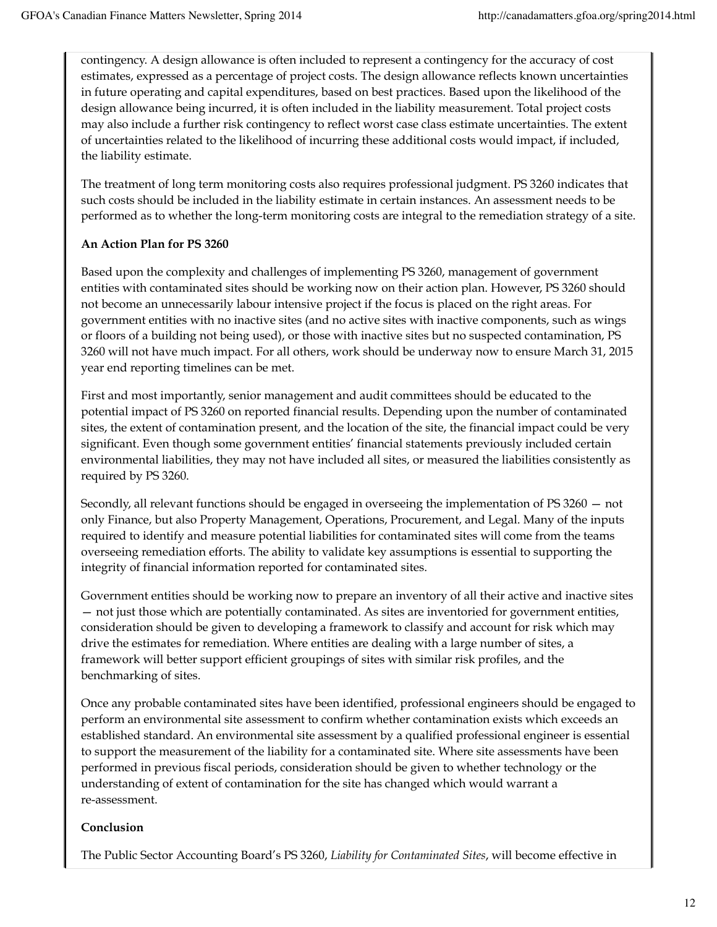contingency. A design allowance is often included to represent a contingency for the accuracy of cost estimates, expressed as a percentage of project costs. The design allowance reflects known uncertainties in future operating and capital expenditures, based on best practices. Based upon the likelihood of the design allowance being incurred, it is often included in the liability measurement. Total project costs may also include a further risk contingency to reflect worst case class estimate uncertainties. The extent of uncertainties related to the likelihood of incurring these additional costs would impact, if included, the liability estimate.

The treatment of long term monitoring costs also requires professional judgment. PS 3260 indicates that such costs should be included in the liability estimate in certain instances. An assessment needs to be performed as to whether the long-term monitoring costs are integral to the remediation strategy of a site.

#### **An Action Plan for PS 3260**

Based upon the complexity and challenges of implementing PS 3260, management of government entities with contaminated sites should be working now on their action plan. However, PS 3260 should not become an unnecessarily labour intensive project if the focus is placed on the right areas. For government entities with no inactive sites (and no active sites with inactive components, such as wings or floors of a building not being used), or those with inactive sites but no suspected contamination, PS 3260 will not have much impact. For all others, work should be underway now to ensure March 31, 2015 year end reporting timelines can be met.

First and most importantly, senior management and audit committees should be educated to the potential impact of PS 3260 on reported financial results. Depending upon the number of contaminated sites, the extent of contamination present, and the location of the site, the financial impact could be very significant. Even though some government entities' financial statements previously included certain environmental liabilities, they may not have included all sites, or measured the liabilities consistently as required by PS 3260.

Secondly, all relevant functions should be engaged in overseeing the implementation of PS 3260 — not only Finance, but also Property Management, Operations, Procurement, and Legal. Many of the inputs required to identify and measure potential liabilities for contaminated sites will come from the teams overseeing remediation efforts. The ability to validate key assumptions is essential to supporting the integrity of financial information reported for contaminated sites.

Government entities should be working now to prepare an inventory of all their active and inactive sites — not just those which are potentially contaminated. As sites are inventoried for government entities, consideration should be given to developing a framework to classify and account for risk which may drive the estimates for remediation. Where entities are dealing with a large number of sites, a framework will better support efficient groupings of sites with similar risk profiles, and the benchmarking of sites.

Once any probable contaminated sites have been identified, professional engineers should be engaged to perform an environmental site assessment to confirm whether contamination exists which exceeds an established standard. An environmental site assessment by a qualified professional engineer is essential to support the measurement of the liability for a contaminated site. Where site assessments have been performed in previous fiscal periods, consideration should be given to whether technology or the understanding of extent of contamination for the site has changed which would warrant a re-assessment.

### **Conclusion**

The Public Sector Accounting Board's PS 3260, *Liability for Contaminated Sites*, will become effective in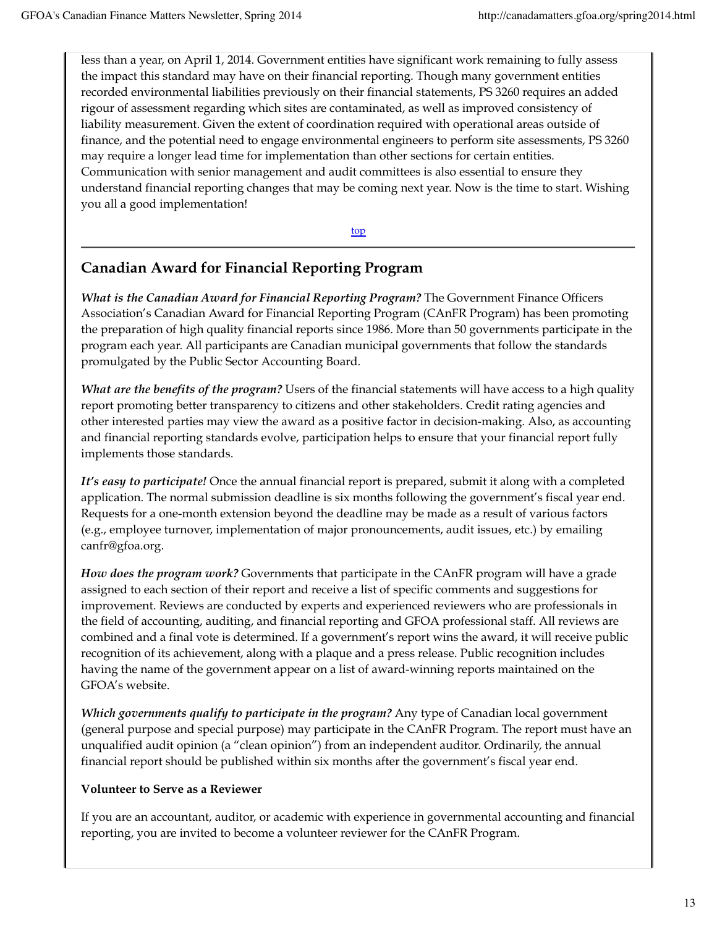less than a year, on April 1, 2014. Government entities have significant work remaining to fully assess the impact this standard may have on their financial reporting. Though many government entities recorded environmental liabilities previously on their financial statements, PS 3260 requires an added rigour of assessment regarding which sites are contaminated, as well as improved consistency of liability measurement. Given the extent of coordination required with operational areas outside of finance, and the potential need to engage environmental engineers to perform site assessments, PS 3260 may require a longer lead time for implementation than other sections for certain entities. Communication with senior management and audit committees is also essential to ensure they understand financial reporting changes that may be coming next year. Now is the time to start. Wishing you all a good implementation!

top

## **Canadian Award for Financial Reporting Program**

*What is the Canadian Award for Financial Reporting Program?* The Government Finance Officers Association's Canadian Award for Financial Reporting Program (CAnFR Program) has been promoting the preparation of high quality financial reports since 1986. More than 50 governments participate in the program each year. All participants are Canadian municipal governments that follow the standards promulgated by the Public Sector Accounting Board.

*What are the benefits of the program?* Users of the financial statements will have access to a high quality report promoting better transparency to citizens and other stakeholders. Credit rating agencies and other interested parties may view the award as a positive factor in decision-making. Also, as accounting and financial reporting standards evolve, participation helps to ensure that your financial report fully implements those standards.

*It's easy to participate!* Once the annual financial report is prepared, submit it along with a completed application. The normal submission deadline is six months following the government's fiscal year end. Requests for a one-month extension beyond the deadline may be made as a result of various factors (e.g., employee turnover, implementation of major pronouncements, audit issues, etc.) by emailing canfr@gfoa.org.

*How does the program work?* Governments that participate in the CAnFR program will have a grade assigned to each section of their report and receive a list of specific comments and suggestions for improvement. Reviews are conducted by experts and experienced reviewers who are professionals in the field of accounting, auditing, and financial reporting and GFOA professional staff. All reviews are combined and a final vote is determined. If a government's report wins the award, it will receive public recognition of its achievement, along with a plaque and a press release. Public recognition includes having the name of the government appear on a list of award-winning reports maintained on the GFOA's website.

*Which governments qualify to participate in the program?* Any type of Canadian local government (general purpose and special purpose) may participate in the CAnFR Program. The report must have an unqualified audit opinion (a "clean opinion") from an independent auditor. Ordinarily, the annual financial report should be published within six months after the government's fiscal year end.

#### **Volunteer to Serve as a Reviewer**

If you are an accountant, auditor, or academic with experience in governmental accounting and financial reporting, you are invited to become a volunteer reviewer for the CAnFR Program.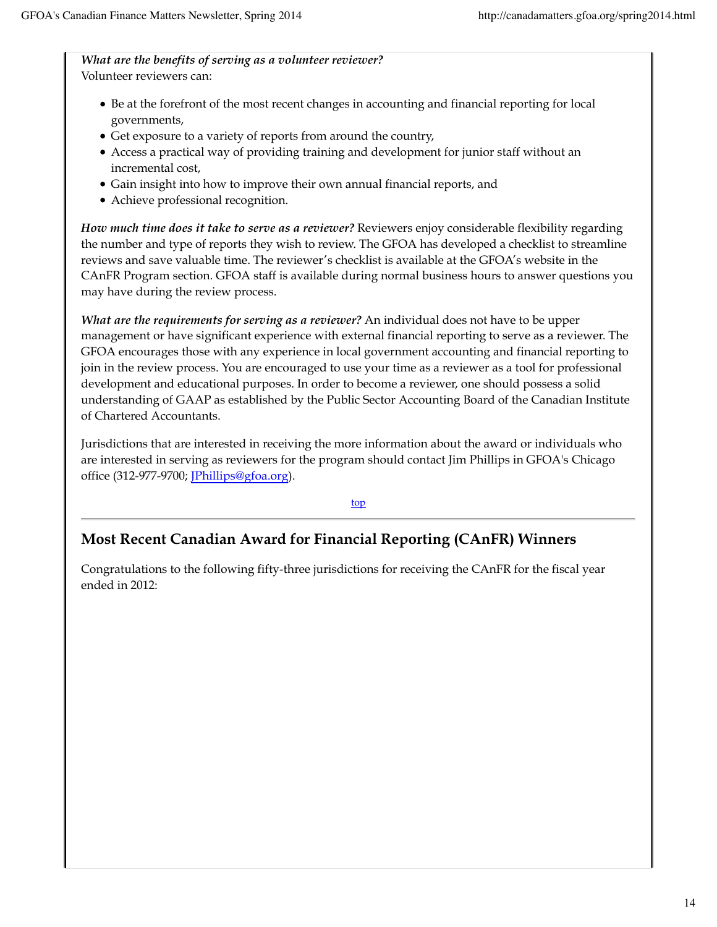*What are the benefits of serving as a volunteer reviewer?* Volunteer reviewers can:

- Be at the forefront of the most recent changes in accounting and financial reporting for local governments,
- Get exposure to a variety of reports from around the country,
- Access a practical way of providing training and development for junior staff without an incremental cost,
- Gain insight into how to improve their own annual financial reports, and
- Achieve professional recognition.

*How much time does it take to serve as a reviewer?* Reviewers enjoy considerable flexibility regarding the number and type of reports they wish to review. The GFOA has developed a checklist to streamline reviews and save valuable time. The reviewer's checklist is available at the GFOA's website in the CAnFR Program section. GFOA staff is available during normal business hours to answer questions you may have during the review process.

*What are the requirements for serving as a reviewer?* An individual does not have to be upper management or have significant experience with external financial reporting to serve as a reviewer. The GFOA encourages those with any experience in local government accounting and financial reporting to join in the review process. You are encouraged to use your time as a reviewer as a tool for professional development and educational purposes. In order to become a reviewer, one should possess a solid understanding of GAAP as established by the Public Sector Accounting Board of the Canadian Institute of Chartered Accountants.

Jurisdictions that are interested in receiving the more information about the award or individuals who are interested in serving as reviewers for the program should contact Jim Phillips in GFOA's Chicago office (312-977-9700; JPhillips@gfoa.org).

#### top

## **Most Recent Canadian Award for Financial Reporting (CAnFR) Winners**

Congratulations to the following fifty-three jurisdictions for receiving the CAnFR for the fiscal year ended in 2012: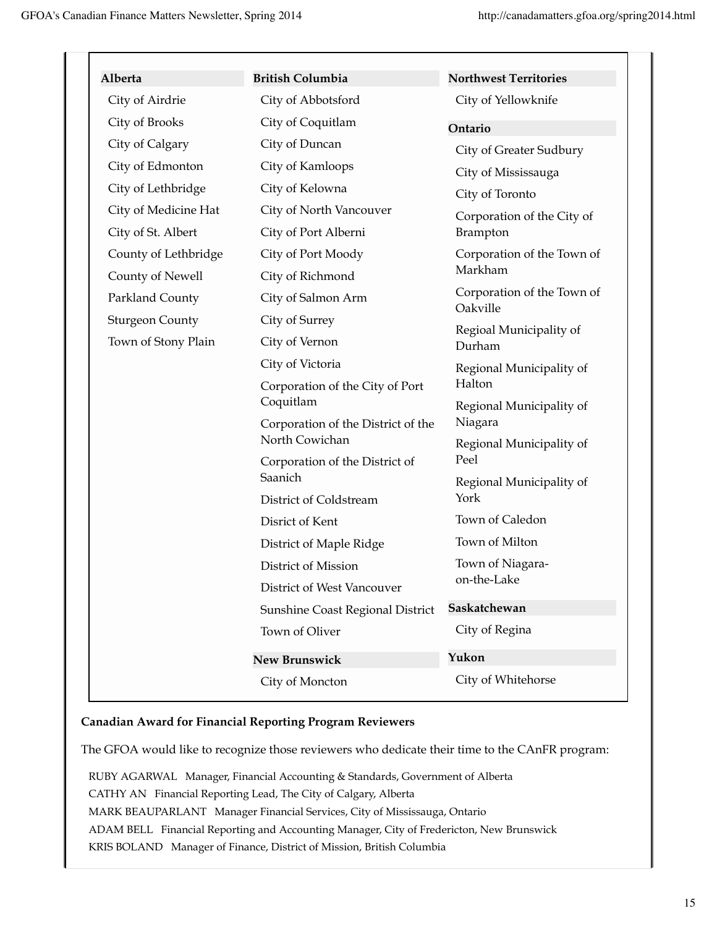T

| Alberta                | <b>British Columbia</b>                                                                                                   | <b>Northwest Territories</b>                                                |
|------------------------|---------------------------------------------------------------------------------------------------------------------------|-----------------------------------------------------------------------------|
| City of Airdrie        | City of Abbotsford                                                                                                        | City of Yellowknife                                                         |
| City of Brooks         | City of Coquitlam                                                                                                         | Ontario                                                                     |
| City of Calgary        | City of Duncan                                                                                                            | City of Greater Sudbury                                                     |
| City of Edmonton       | City of Kamloops                                                                                                          | City of Mississauga                                                         |
| City of Lethbridge     | City of Kelowna                                                                                                           | City of Toronto                                                             |
| City of Medicine Hat   | City of North Vancouver                                                                                                   | Corporation of the City of                                                  |
| City of St. Albert     | City of Port Alberni                                                                                                      | Brampton                                                                    |
| County of Lethbridge   | City of Port Moody                                                                                                        | Corporation of the Town of<br>Markham                                       |
| County of Newell       | City of Richmond                                                                                                          |                                                                             |
| Parkland County        | City of Salmon Arm                                                                                                        | Corporation of the Town of<br>Oakville<br>Regioal Municipality of<br>Durham |
| <b>Sturgeon County</b> | City of Surrey                                                                                                            |                                                                             |
| Town of Stony Plain    | City of Vernon                                                                                                            |                                                                             |
|                        | City of Victoria                                                                                                          | Regional Municipality of                                                    |
|                        | Halton<br>Corporation of the City of Port<br>Coquitlam<br>Niagara<br>Corporation of the District of the<br>North Cowichan |                                                                             |
|                        |                                                                                                                           | Regional Municipality of                                                    |
|                        |                                                                                                                           |                                                                             |
|                        | Corporation of the District of                                                                                            | Regional Municipality of<br>Peel                                            |
|                        | Saanich                                                                                                                   | Regional Municipality of                                                    |
|                        | District of Coldstream                                                                                                    | York                                                                        |
|                        | Disrict of Kent                                                                                                           | Town of Caledon                                                             |
|                        | District of Maple Ridge                                                                                                   | Town of Milton                                                              |
|                        | District of Mission                                                                                                       | Town of Niagara-                                                            |
|                        | District of West Vancouver                                                                                                | on-the-Lake                                                                 |
|                        | Sunshine Coast Regional District                                                                                          | Saskatchewan                                                                |
|                        | Town of Oliver                                                                                                            | City of Regina                                                              |
|                        | <b>New Brunswick</b>                                                                                                      | Yukon                                                                       |
|                        | City of Moncton                                                                                                           | City of Whitehorse                                                          |

#### **Canadian Award for Financial Reporting Program Reviewers**

The GFOA would like to recognize those reviewers who dedicate their time to the CAnFR program:

RUBY AGARWAL Manager, Financial Accounting & Standards, Government of Alberta CATHY AN Financial Reporting Lead, The City of Calgary, Alberta MARK BEAUPARLANT Manager Financial Services, City of Mississauga, Ontario ADAM BELL Financial Reporting and Accounting Manager, City of Fredericton, New Brunswick KRIS BOLAND Manager of Finance, District of Mission, British Columbia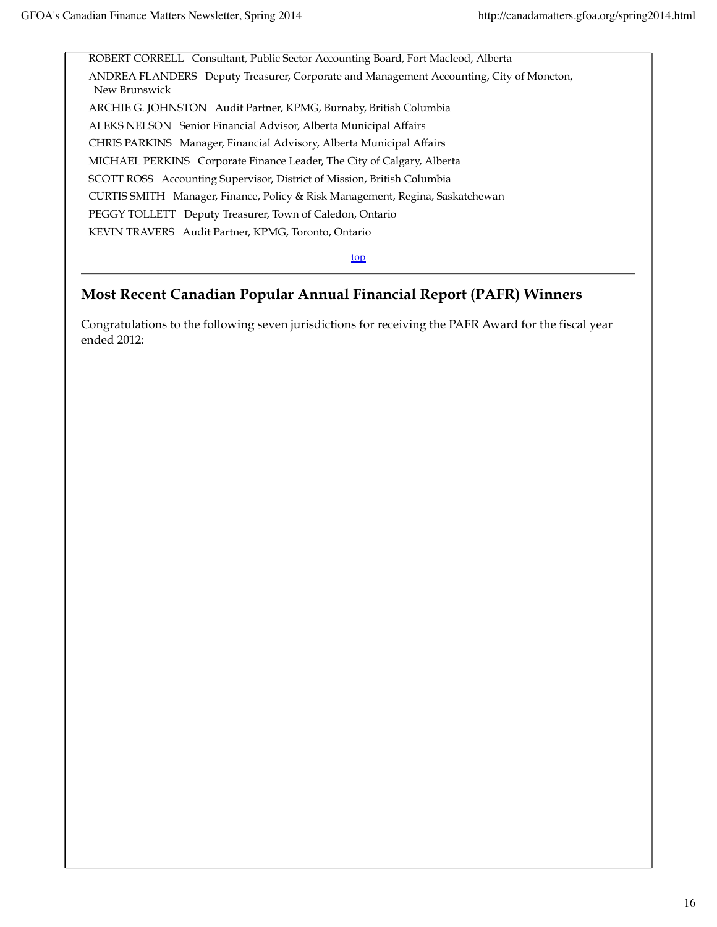ROBERT CORRELL Consultant, Public Sector Accounting Board, Fort Macleod, Alberta ANDREA FLANDERS Deputy Treasurer, Corporate and Management Accounting, City of Moncton, New Brunswick ARCHIE G. JOHNSTON Audit Partner, KPMG, Burnaby, British Columbia ALEKS NELSON Senior Financial Advisor, Alberta Municipal Affairs CHRIS PARKINS Manager, Financial Advisory, Alberta Municipal Affairs MICHAEL PERKINS Corporate Finance Leader, The City of Calgary, Alberta SCOTT ROSS Accounting Supervisor, District of Mission, British Columbia CURTIS SMITH Manager, Finance, Policy & Risk Management, Regina, Saskatchewan PEGGY TOLLETT Deputy Treasurer, Town of Caledon, Ontario KEVIN TRAVERS Audit Partner, KPMG, Toronto, Ontario

top

## **Most Recent Canadian Popular Annual Financial Report (PAFR) Winners**

Congratulations to the following seven jurisdictions for receiving the PAFR Award for the fiscal year ended 2012: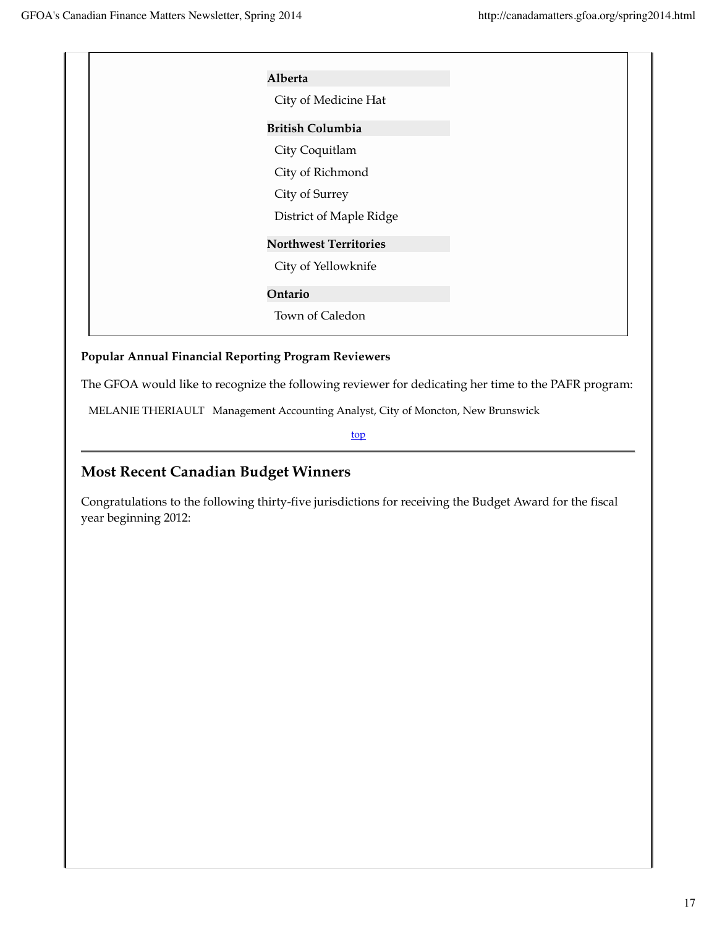| Alberta                      |
|------------------------------|
| City of Medicine Hat         |
| <b>British Columbia</b>      |
| City Coquitlam               |
| City of Richmond             |
| City of Surrey               |
| District of Maple Ridge      |
| <b>Northwest Territories</b> |
| City of Yellowknife          |
| Ontario                      |
| Town of Caledon              |
|                              |

#### **Popular Annual Financial Reporting Program Reviewers**

The GFOA would like to recognize the following reviewer for dedicating her time to the PAFR program:

MELANIE THERIAULT Management Accounting Analyst, City of Moncton, New Brunswick

top

## **Most Recent Canadian Budget Winners**

Congratulations to the following thirty-five jurisdictions for receiving the Budget Award for the fiscal year beginning 2012: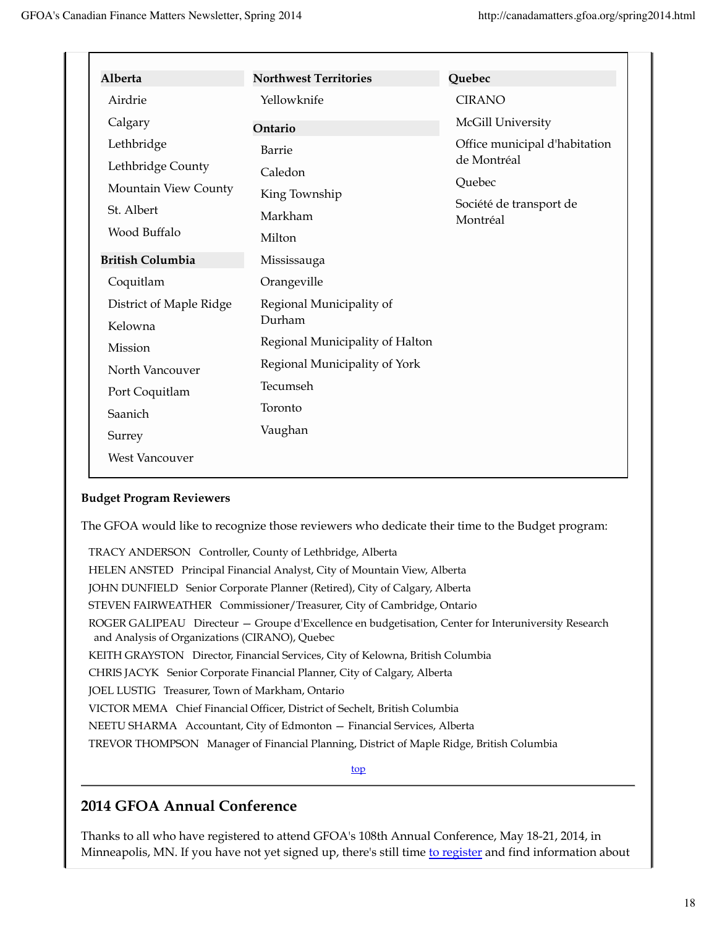| Alberta                                                                               | <b>Northwest Territories</b>                            | Quebec                                                                                        |
|---------------------------------------------------------------------------------------|---------------------------------------------------------|-----------------------------------------------------------------------------------------------|
| Airdrie                                                                               | Yellowknife                                             | <b>CIRANO</b>                                                                                 |
| Calgary                                                                               | Ontario                                                 | McGill University                                                                             |
| Lethbridge<br>Lethbridge County<br>Mountain View County<br>St. Albert<br>Wood Buffalo | Barrie<br>Caledon<br>King Township<br>Markham<br>Milton | Office municipal d'habitation<br>de Montréal<br>Quebec<br>Société de transport de<br>Montréal |
| <b>British Columbia</b>                                                               | Mississauga                                             |                                                                                               |
| Coquitlam                                                                             | Orangeville                                             |                                                                                               |
| District of Maple Ridge<br>Kelowna                                                    | Regional Municipality of<br>Durham                      |                                                                                               |
| Mission                                                                               | Regional Municipality of Halton                         |                                                                                               |
| North Vancouver<br>Port Coquitlam                                                     | Regional Municipality of York<br>Tecumseh               |                                                                                               |
| Saanich                                                                               | Toronto<br>Vaughan                                      |                                                                                               |
| Surrey<br><b>West Vancouver</b>                                                       |                                                         |                                                                                               |

#### **Budget Program Reviewers**

The GFOA would like to recognize those reviewers who dedicate their time to the Budget program:

TRACY ANDERSON Controller, County of Lethbridge, Alberta HELEN ANSTED Principal Financial Analyst, City of Mountain View, Alberta JOHN DUNFIELD Senior Corporate Planner (Retired), City of Calgary, Alberta STEVEN FAIRWEATHER Commissioner/Treasurer, City of Cambridge, Ontario ROGER GALIPEAU Directeur — Groupe d'Excellence en budgetisation, Center for Interuniversity Research and Analysis of Organizations (CIRANO), Quebec KEITH GRAYSTON Director, Financial Services, City of Kelowna, British Columbia CHRIS JACYK Senior Corporate Financial Planner, City of Calgary, Alberta JOEL LUSTIG Treasurer, Town of Markham, Ontario VICTOR MEMA Chief Financial Officer, District of Sechelt, British Columbia NEETU SHARMA Accountant, City of Edmonton — Financial Services, Alberta TREVOR THOMPSON Manager of Financial Planning, District of Maple Ridge, British Columbia

top

## **2014 GFOA Annual Conference**

Thanks to all who have registered to attend GFOA's 108th Annual Conference, May 18-21, 2014, in Minneapolis, MN. If you have not yet signed up, there's still time to register and find information about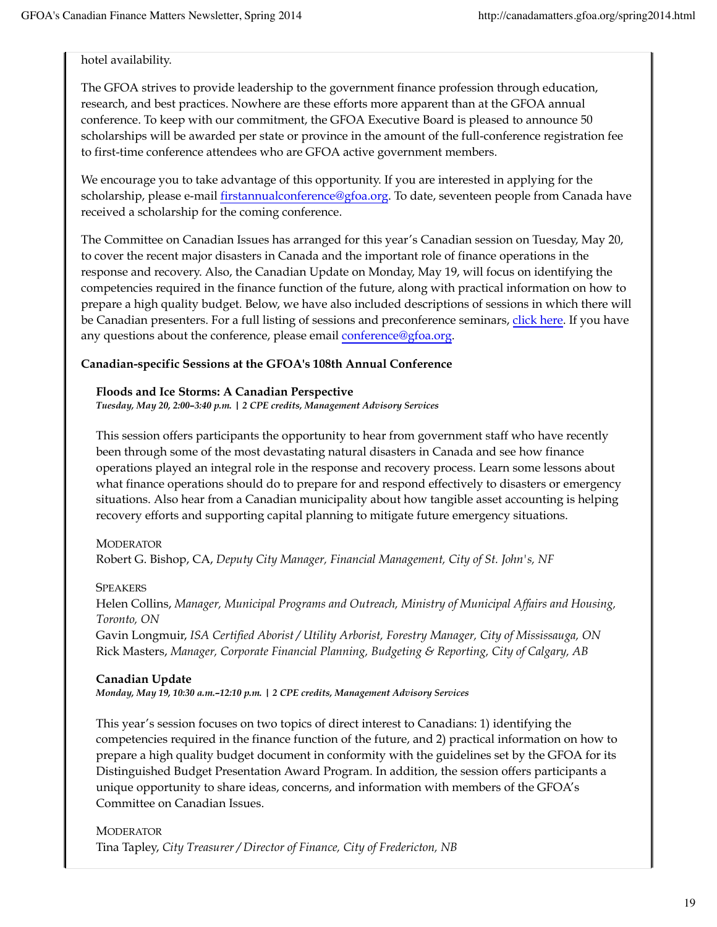hotel availability.

The GFOA strives to provide leadership to the government finance profession through education, research, and best practices. Nowhere are these efforts more apparent than at the GFOA annual conference. To keep with our commitment, the GFOA Executive Board is pleased to announce 50 scholarships will be awarded per state or province in the amount of the full-conference registration fee to first-time conference attendees who are GFOA active government members.

We encourage you to take advantage of this opportunity. If you are interested in applying for the scholarship, please e-mail firstannualconference@gfoa.org. To date, seventeen people from Canada have received a scholarship for the coming conference.

The Committee on Canadian Issues has arranged for this year's Canadian session on Tuesday, May 20, to cover the recent major disasters in Canada and the important role of finance operations in the response and recovery. Also, the Canadian Update on Monday, May 19, will focus on identifying the competencies required in the finance function of the future, along with practical information on how to prepare a high quality budget. Below, we have also included descriptions of sessions in which there will be Canadian presenters. For a full listing of sessions and preconference seminars, click here. If you have any questions about the conference, please email conference@gfoa.org.

#### **Canadian-specific Sessions at the GFOA's 108th Annual Conference**

#### **Floods and Ice Storms: A Canadian Perspective**

*Tuesday, May 20, 2:00–3:40 p.m. | 2 CPE credits, Management Advisory Services*

This session offers participants the opportunity to hear from government staff who have recently been through some of the most devastating natural disasters in Canada and see how finance operations played an integral role in the response and recovery process. Learn some lessons about what finance operations should do to prepare for and respond effectively to disasters or emergency situations. Also hear from a Canadian municipality about how tangible asset accounting is helping recovery efforts and supporting capital planning to mitigate future emergency situations.

#### **MODERATOR**

Robert G. Bishop, CA, *Deputy City Manager, Financial Management, City of St. John's, NF*

#### **SPEAKERS**

Helen Collins, *Manager, Municipal Programs and Outreach, Ministry of Municipal Affairs and Housing, Toronto, ON*

Gavin Longmuir, *ISA Certified Aborist / Utility Arborist, Forestry Manager, City of Mississauga, ON* Rick Masters, *Manager, Corporate Financial Planning, Budgeting & Reporting, City of Calgary, AB*

#### **Canadian Update**

*Monday, May 19, 10:30 a.m.–12:10 p.m. | 2 CPE credits, Management Advisory Services*

This year's session focuses on two topics of direct interest to Canadians: 1) identifying the competencies required in the finance function of the future, and 2) practical information on how to prepare a high quality budget document in conformity with the guidelines set by the GFOA for its Distinguished Budget Presentation Award Program. In addition, the session offers participants a unique opportunity to share ideas, concerns, and information with members of the GFOA's Committee on Canadian Issues.

**MODERATOR** Tina Tapley, *City Treasurer / Director of Finance, City of Fredericton, NB*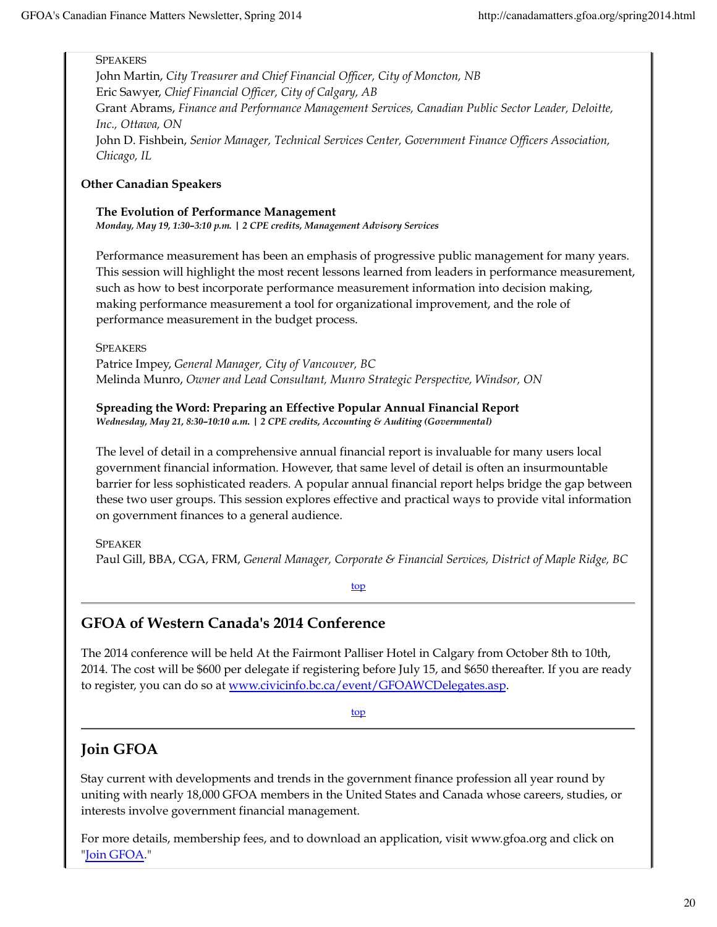#### **SPEAKERS**

John Martin, *City Treasurer and Chief Financial Officer, City of Moncton, NB* Eric Sawyer, *Chief Financial Officer, City of Calgary, AB* Grant Abrams, *Finance and Performance Management Services, Canadian Public Sector Leader, Deloitte, Inc., Ottawa, ON* John D. Fishbein, *Senior Manager, Technical Services Center, Government Finance Officers Association, Chicago, IL*

#### **Other Canadian Speakers**

#### **The Evolution of Performance Management** *Monday, May 19, 1:30–3:10 p.m. | 2 CPE credits, Management Advisory Services*

Performance measurement has been an emphasis of progressive public management for many years. This session will highlight the most recent lessons learned from leaders in performance measurement, such as how to best incorporate performance measurement information into decision making, making performance measurement a tool for organizational improvement, and the role of performance measurement in the budget process.

**SPEAKERS** 

Patrice Impey, *General Manager, City of Vancouver, BC* Melinda Munro, *Owner and Lead Consultant, Munro Strategic Perspective, Windsor, ON*

**Spreading the Word: Preparing an Effective Popular Annual Financial Report** *Wednesday, May 21, 8:30–10:10 a.m. | 2 CPE credits, Accounting & Auditing (Governmental)*

The level of detail in a comprehensive annual financial report is invaluable for many users local government financial information. However, that same level of detail is often an insurmountable barrier for less sophisticated readers. A popular annual financial report helps bridge the gap between these two user groups. This session explores effective and practical ways to provide vital information on government finances to a general audience.

SPEAKER Paul Gill, BBA, CGA, FRM, *General Manager, Corporate & Financial Services, District of Maple Ridge, BC*

top

### **GFOA of Western Canada's 2014 Conference**

The 2014 conference will be held At the Fairmont Palliser Hotel in Calgary from October 8th to 10th, 2014. The cost will be \$600 per delegate if registering before July 15, and \$650 thereafter. If you are ready to register, you can do so at www.civicinfo.bc.ca/event/GFOAWCDelegates.asp.

top

### **Join GFOA**

Stay current with developments and trends in the government finance profession all year round by uniting with nearly 18,000 GFOA members in the United States and Canada whose careers, studies, or interests involve government financial management.

For more details, membership fees, and to download an application, visit www.gfoa.org and click on "Join GFOA."